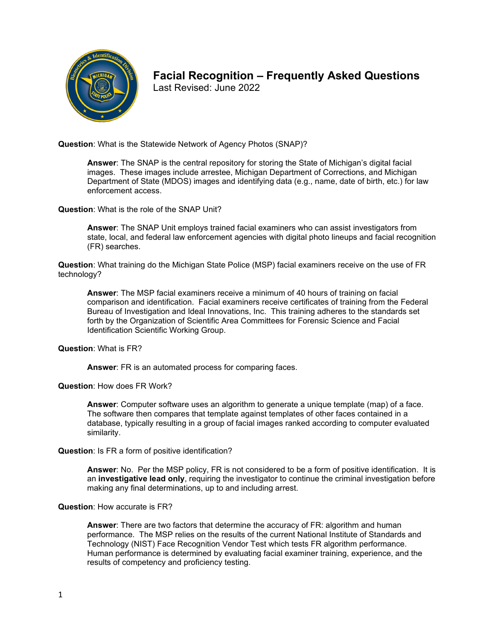

# **Facial Recognition – Frequently Asked Questions**

Last Revised: June 2022

**Question**: What is the Statewide Network of Agency Photos (SNAP)?

**Answer**: The SNAP is the central repository for storing the State of Michigan's digital facial images. These images include arrestee, Michigan Department of Corrections, and Michigan Department of State (MDOS) images and identifying data (e.g., name, date of birth, etc.) for law enforcement access.

**Question**: What is the role of the SNAP Unit?

**Answer**: The SNAP Unit employs trained facial examiners who can assist investigators from state, local, and federal law enforcement agencies with digital photo lineups and facial recognition (FR) searches.

**Question**: What training do the Michigan State Police (MSP) facial examiners receive on the use of FR technology?

**Answer**: The MSP facial examiners receive a minimum of 40 hours of training on facial comparison and identification. Facial examiners receive certificates of training from the Federal Bureau of Investigation and Ideal Innovations, Inc. This training adheres to the standards set forth by the Organization of Scientific Area Committees for Forensic Science and Facial Identification Scientific Working Group.

**Question**: What is FR?

**Answer**: FR is an automated process for comparing faces.

**Question**: How does FR Work?

**Answer**: Computer software uses an algorithm to generate a unique template (map) of a face. The software then compares that template against templates of other faces contained in a database, typically resulting in a group of facial images ranked according to computer evaluated similarity.

**Question**: Is FR a form of positive identification?

**Answer**: No. Per the MSP policy, FR is not considered to be a form of positive identification. It is an **investigative lead only**, requiring the investigator to continue the criminal investigation before making any final determinations, up to and including arrest.

**Question**: How accurate is FR?

**Answer**: There are two factors that determine the accuracy of FR: algorithm and human performance. The MSP relies on the results of the current National Institute of Standards and Technology (NIST) Face Recognition Vendor Test which tests FR algorithm performance. Human performance is determined by evaluating facial examiner training, experience, and the results of competency and proficiency testing.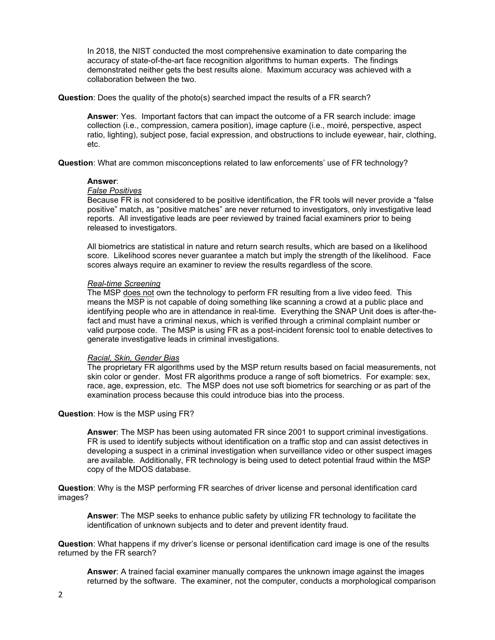In 2018, the NIST conducted the most comprehensive examination to date comparing the accuracy of state-of-the-art face recognition algorithms to human experts. The findings demonstrated neither gets the best results alone. Maximum accuracy was achieved with a collaboration between the two.

**Question**: Does the quality of the photo(s) searched impact the results of a FR search?

**Answer**: Yes. Important factors that can impact the outcome of a FR search include: image collection (i.e., compression, camera position), image capture (i.e., moiré, perspective, aspect ratio, lighting), subject pose, facial expression, and obstructions to include eyewear, hair, clothing, etc.

**Question**: What are common misconceptions related to law enforcements' use of FR technology?

#### **Answer**:

## *False Positives*

Because FR is not considered to be positive identification, the FR tools will never provide a "false positive" match, as "positive matches" are never returned to investigators, only investigative lead reports. All investigative leads are peer reviewed by trained facial examiners prior to being released to investigators.

All biometrics are statistical in nature and return search results, which are based on a likelihood score. Likelihood scores never guarantee a match but imply the strength of the likelihood. Face scores always require an examiner to review the results regardless of the score.

### *Real-time Screening*

The MSP does not own the technology to perform FR resulting from a live video feed. This means the MSP is not capable of doing something like scanning a crowd at a public place and identifying people who are in attendance in real-time. Everything the SNAP Unit does is after-thefact and must have a criminal nexus, which is verified through a criminal complaint number or valid purpose code. The MSP is using FR as a post-incident forensic tool to enable detectives to generate investigative leads in criminal investigations.

## *Racial, Skin, Gender Bias*

The proprietary FR algorithms used by the MSP return results based on facial measurements, not skin color or gender. Most FR algorithms produce a range of soft biometrics. For example: sex, race, age, expression, etc. The MSP does not use soft biometrics for searching or as part of the examination process because this could introduce bias into the process.

## **Question**: How is the MSP using FR?

**Answer**: The MSP has been using automated FR since 2001 to support criminal investigations. FR is used to identify subjects without identification on a traffic stop and can assist detectives in developing a suspect in a criminal investigation when surveillance video or other suspect images are available. Additionally, FR technology is being used to detect potential fraud within the MSP copy of the MDOS database.

**Question**: Why is the MSP performing FR searches of driver license and personal identification card images?

**Answer**: The MSP seeks to enhance public safety by utilizing FR technology to facilitate the identification of unknown subjects and to deter and prevent identity fraud.

**Question**: What happens if my driver's license or personal identification card image is one of the results returned by the FR search?

**Answer**: A trained facial examiner manually compares the unknown image against the images returned by the software. The examiner, not the computer, conducts a morphological comparison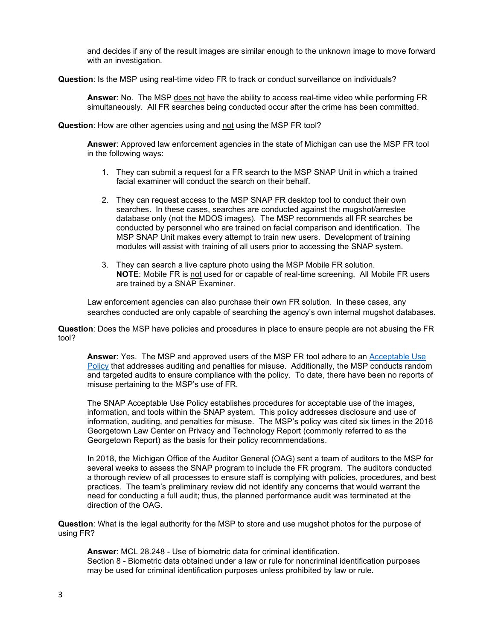and decides if any of the result images are similar enough to the unknown image to move forward with an investigation.

**Question**: Is the MSP using real-time video FR to track or conduct surveillance on individuals?

**Answer**: No. The MSP does not have the ability to access real-time video while performing FR simultaneously. All FR searches being conducted occur after the crime has been committed.

**Question:** How are other agencies using and not using the MSP FR tool?

**Answer**: Approved law enforcement agencies in the state of Michigan can use the MSP FR tool in the following ways:

- 1. They can submit a request for a FR search to the MSP SNAP Unit in which a trained facial examiner will conduct the search on their behalf.
- 2. They can request access to the MSP SNAP FR desktop tool to conduct their own searches. In these cases, searches are conducted against the mugshot/arrestee database only (not the MDOS images). The MSP recommends all FR searches be conducted by personnel who are trained on facial comparison and identification. The MSP SNAP Unit makes every attempt to train new users. Development of training modules will assist with training of all users prior to accessing the SNAP system.
- 3. They can search a live capture photo using the MSP Mobile FR solution. **NOTE**: Mobile FR is not used for or capable of real-time screening. All Mobile FR users are trained by a SNAP Examiner.

Law enforcement agencies can also purchase their own FR solution. In these cases, any searches conducted are only capable of searching the agency's own internal mugshot databases.

**Question**: Does the MSP have policies and procedures in place to ensure people are not abusing the FR tool?

**Answer**: Yes. The MSP and approved users of the MSP FR tool adhere to an [Acceptable Use](https://www.michigan.gov/documents/msp/SNAP_Acceptable_Use_Policy_2016_03_07_533938_7.pdf)  [Policy](https://www.michigan.gov/documents/msp/SNAP_Acceptable_Use_Policy_2016_03_07_533938_7.pdf) that addresses auditing and penalties for misuse. Additionally, the MSP conducts random and targeted audits to ensure compliance with the policy. To date, there have been no reports of misuse pertaining to the MSP's use of FR.

The SNAP Acceptable Use Policy establishes procedures for acceptable use of the images, information, and tools within the SNAP system. This policy addresses disclosure and use of information, auditing, and penalties for misuse. The MSP's policy was cited six times in the 2016 Georgetown Law Center on Privacy and Technology Report (commonly referred to as the Georgetown Report) as the basis for their policy recommendations.

In 2018, the Michigan Office of the Auditor General (OAG) sent a team of auditors to the MSP for several weeks to assess the SNAP program to include the FR program. The auditors conducted a thorough review of all processes to ensure staff is complying with policies, procedures, and best practices. The team's preliminary review did not identify any concerns that would warrant the need for conducting a full audit; thus, the planned performance audit was terminated at the direction of the OAG.

**Question**: What is the legal authority for the MSP to store and use mugshot photos for the purpose of using FR?

**Answer**: MCL 28.248 - Use of biometric data for criminal identification. Section 8 - Biometric data obtained under a law or rule for noncriminal identification purposes may be used for criminal identification purposes unless prohibited by law or rule.